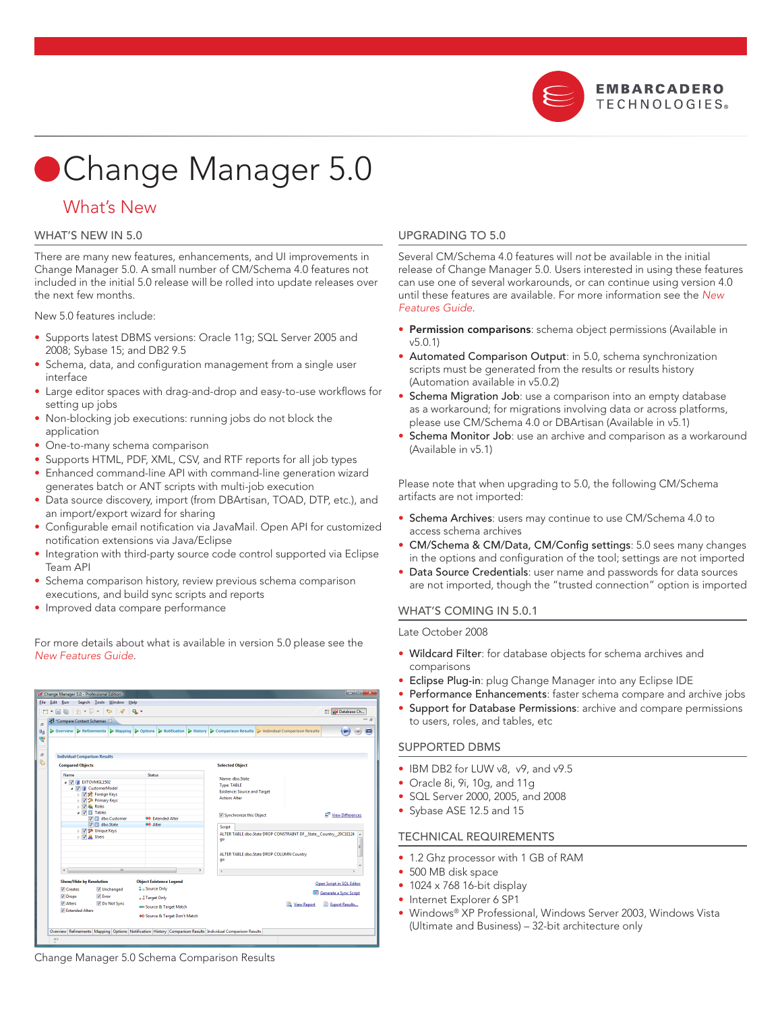

# Change Manager 5.0

## What's New

#### WHAT'S NEW IN 5.0

There are many new features, enhancements, and UI improvements in Change Manager 5.0. A small number of CM/Schema 4.0 features not included in the initial 5.0 release will be rolled into update releases over the next few months.

New 5.0 features include:

- Supports latest DBMS versions: Oracle 11g; SQL Server 2005 and 2008; Sybase 15; and DB2 9.5
- Schema, data, and configuration management from a single user interface •
- Large editor spaces with drag-and-drop and easy-to-use workflows for setting up jobs
- Non-blocking job executions: running jobs do not block the application •
- One-to-many schema comparison
- Supports HTML, PDF, XML, CSV, and RTF reports for all job types
- Enhanced command-line API with command-line generation wizard generates batch or ANT scripts with multi-job execution
- Data source discovery, import (from DBArtisan, TOAD, DTP, etc.), and an import/export wizard for sharing
- Configurable email notification via JavaMail. Open API for customized notification extensions via Java/Eclipse
- Integration with third-party source code control supported via Eclipse Team API •
- Schema comparison history, review previous schema comparison executions, and build sync scripts and reports •
- Improved data compare performance

For more details about what is available in version 5.0 please see the *New Features Guide*.

#### Change Manager 5.0 - Professional Edition Eile Edit Bun Search Iools Window Help<br>- 그 대 때 이 이 기 기 수 수 <mark>에 이</mark> **Ex Database Ch...** Compare Contact Schemas  $\vert$   $\triangleright$  Refin nts > Mapping > Options > Notification > History > Cor **Individual Comparison Results Compared Objects Selected Object** Name: dbo.S<br>Type: TABLE<br>F rce and Targe  $\overline{v}$  Sv nize thic ∩hier E<sup>B</sup> View Differs <sup>34</sup> Extended Alte V V Unique Keys<br>√ <mark>A</mark> Users ALTER TABLE dbo.State DROP CONSTRAINT DF\_State\_Country\_20C1E124 A ALTER TABLE dbo.State DROP COLUMN Country  $\mathbb{R}^+$ **Object Existence Legend** Show/Hide by R olution Open Script in SQL Editor  $\angle$  Create V<br>
V Error<br>
V Do Not Sync **A** Source Only **Be** Generate a Sync Script √ Drops<br>√ Alters ... Target Only View Report **B** Export Results... .<br>29 Source & Target Match ♦ Source & Target Don't Match ew Refinements Mapping Options Notification History Comparison Results Individual Comparison Results

### Upgrading to 5.0

Several CM/Schema 4.0 features will *not* be available in the initial release of Change Manager 5.0. Users interested in using these features can use one of several workarounds, or can continue using version 4.0 until these features are available. For more information see the *New Features Guide*.

- **Permission comparisons**: schema object permissions (Available in v5.0.1)
- Automated Comparison Output: in 5.0, schema synchronization scripts must be generated from the results or results history (Automation available in v5.0.2)
- Schema Migration Job: use a comparison into an empty database as a workaround; for migrations involving data or across platforms, please use CM/Schema 4.0 or DBArtisan (Available in v5.1)
- Schema Monitor Job: use an archive and comparison as a workaround (Available in v5.1)

Please note that when upgrading to 5.0, the following CM/Schema artifacts are not imported:

- Schema Archives: users may continue to use CM/Schema 4.0 to access schema archives
- CM/Schema & CM/Data, CM/Config settings: 5.0 sees many changes in the options and configuration of the tool; settings are not imported
- Data Source Credentials: user name and passwords for data sources are not imported, though the "trusted connection" option is imported

#### WHAT'S COMING IN 5.0.1

#### Late October 2008

- Wildcard Filter: for database objects for schema archives and comparisons
- Eclipse Plug-in: plug Change Manager into any Eclipse IDE
- Performance Enhancements: faster schema compare and archive jobs •
- Support for Database Permissions: archive and compare permissions to users, roles, and tables, etc

#### Supported DBMS

- IBM DB2 for LUW v8, v9, and v9.5
- Oracle 8i, 9i, 10g, and 11g •
- SQL Server 2000, 2005, and 2008 •
- Sybase ASE 12.5 and 15

#### Technical Requirements

- 1.2 Ghz processor with 1 GB of RAM
- 500 MB disk space
- 1024 x 768 16-bit display
- Internet Explorer 6 SP1
- Windows® XP Professional, Windows Server 2003, Windows Vista (Ultimate and Business) – 32-bit architecture only

Change Manager 5.0 Schema Comparison Results